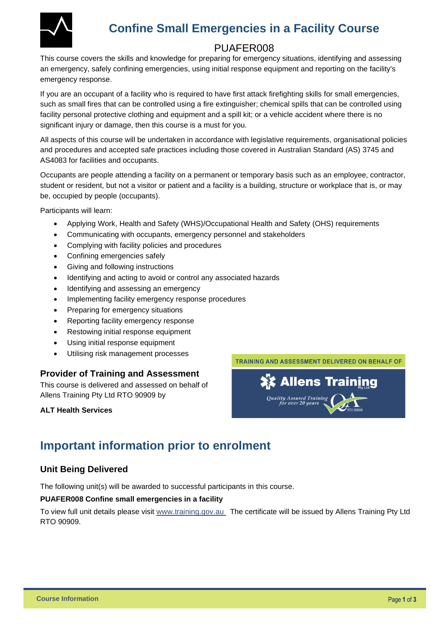

# **Confine Small Emergencies in a Facility Course**

## PUAFER008

This course covers the skills and knowledge for preparing for emergency situations, identifying and assessing an emergency, safely confining emergencies, using initial response equipment and reporting on the facility's emergency response.

If you are an occupant of a facility who is required to have first attack firefighting skills for small emergencies, such as small fires that can be controlled using a fire extinguisher; chemical spills that can be controlled using facility personal protective clothing and equipment and a spill kit; or a vehicle accident where there is no significant injury or damage, then this course is a must for you.

All aspects of this course will be undertaken in accordance with legislative requirements, organisational policies and procedures and accepted safe practices including those covered in Australian Standard (AS) 3745 and AS4083 for facilities and occupants.

Occupants are people attending a facility on a permanent or temporary basis such as an employee, contractor, student or resident, but not a visitor or patient and a facility is a building, structure or workplace that is, or may be, occupied by people (occupants).

Participants will learn:

- Applying Work, Health and Safety (WHS)/Occupational Health and Safety (OHS) requirements
- Communicating with occupants, emergency personnel and stakeholders
- Complying with facility policies and procedures
- Confining emergencies safely
- Giving and following instructions
- Identifying and acting to avoid or control any associated hazards
- Identifying and assessing an emergency
- Implementing facility emergency response procedures
- Preparing for emergency situations
- Reporting facility emergency response
- Restowing initial response equipment
- Using initial response equipment
- Utilising risk management processes

#### **Provider of Training and Assessment**

This course is delivered and assessed on behalf of Allens Training Pty Ltd RTO 90909 by

#### **ALT Health Services**



# **Important information prior to enrolment**

#### **Unit Being Delivered**

The following unit(s) will be awarded to successful participants in this course.

#### **PUAFER008 Confine small emergencies in a facility**

To view full unit details please visit [www.training.gov.au](https://training.gov.au/Training/Details/PUAFER008) The certificate will be issued by Allens Training Pty Ltd RTO 90909.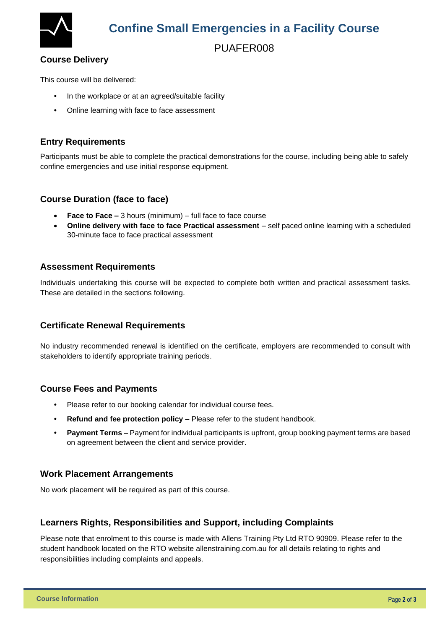

# **Confine Small Emergencies in a Facility Course**

## PUAFER008

#### **Course Delivery**

This course will be delivered:

- In the workplace or at an agreed/suitable facility
- Online learning with face to face assessment

#### **Entry Requirements**

Participants must be able to complete the practical demonstrations for the course, including being able to safely confine emergencies and use initial response equipment.

#### **Course Duration (face to face)**

- **Face to Face –** 3 hours (minimum) full face to face course
- **Online delivery with face to face Practical assessment** self paced online learning with a scheduled 30-minute face to face practical assessment

#### **Assessment Requirements**

Individuals undertaking this course will be expected to complete both written and practical assessment tasks. These are detailed in the sections following.

#### **Certificate Renewal Requirements**

No industry recommended renewal is identified on the certificate, employers are recommended to consult with stakeholders to identify appropriate training periods.

#### **Course Fees and Payments**

- Please refer to our booking calendar for individual course fees.
- **Refund and fee protection policy** Please refer to the student handbook.
- **Payment Terms** Payment for individual participants is upfront, group booking payment terms are based on agreement between the client and service provider.

#### **Work Placement Arrangements**

No work placement will be required as part of this course.

#### **Learners Rights, Responsibilities and Support, including Complaints**

Please note that enrolment to this course is made with Allens Training Pty Ltd RTO 90909. Please refer to the student handbook located on the RTO website [allenstraining.com.au](https://www.allenstraining.com.au/students/student-handbook.aspx) for all details relating to rights and responsibilities including complaints and appeals.